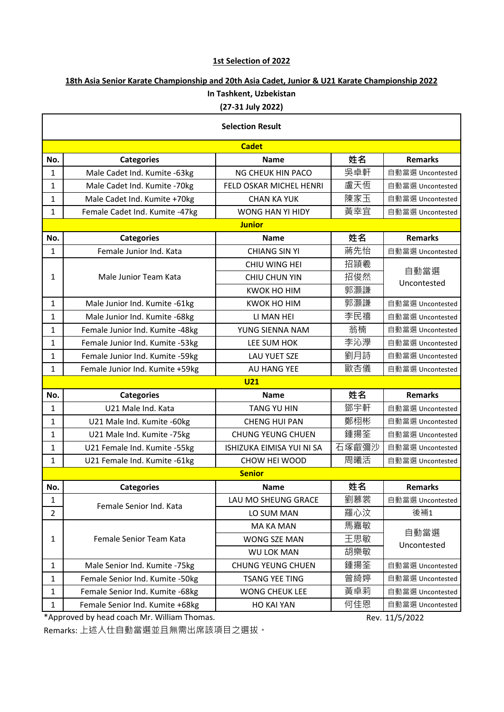## **1st Selection of 2022**

## **18th Asia Senior Karate Championship and 20th Asia Cadet, Junior & U21 Karate Championship 2022 In Tashkent, Uzbekistan (27-31 July 2022)**

| <b>Selection Result</b> |                                  |                                  |       |                     |  |  |  |  |
|-------------------------|----------------------------------|----------------------------------|-------|---------------------|--|--|--|--|
| <b>Cadet</b>            |                                  |                                  |       |                     |  |  |  |  |
| No.                     | <b>Categories</b>                | <b>Name</b>                      | 姓名    | <b>Remarks</b>      |  |  |  |  |
| $\mathbf{1}$            | Male Cadet Ind. Kumite -63kg     | NG CHEUK HIN PACO                | 吳卓軒   | 自動當選 Uncontested    |  |  |  |  |
| $\mathbf{1}$            | Male Cadet Ind. Kumite -70kg     | FELD OSKAR MICHEL HENRI          | 盧天恆   | 自動當選 Uncontested    |  |  |  |  |
| $\mathbf{1}$            | Male Cadet Ind. Kumite +70kg     | <b>CHAN KA YUK</b>               | 陳家玉   | 自動當選 Uncontested    |  |  |  |  |
| $\mathbf{1}$            | Female Cadet Ind. Kumite -47kg   | <b>WONG HAN YI HIDY</b>          | 黃幸宜   | 自動當選 Uncontested    |  |  |  |  |
| <b>Junior</b>           |                                  |                                  |       |                     |  |  |  |  |
| No.                     | <b>Categories</b>                | <b>Name</b>                      | 姓名    | <b>Remarks</b>      |  |  |  |  |
| $\mathbf{1}$            | Female Junior Ind. Kata          | <b>CHIANG SIN YI</b>             | 蔣先怡   | 自動當選 Uncontested    |  |  |  |  |
| 1                       | Male Junior Team Kata            | CHIU WING HEI                    | 招頴羲   | 自動當選<br>Uncontested |  |  |  |  |
|                         |                                  | <b>CHIU CHUN YIN</b>             | 招俊然   |                     |  |  |  |  |
|                         |                                  | <b>KWOK HO HIM</b>               | 郭灝謙   |                     |  |  |  |  |
| $\mathbf{1}$            | Male Junior Ind. Kumite -61kg    | <b>KWOK HO HIM</b>               | 郭灝謙   | 自動當選 Uncontested    |  |  |  |  |
| $\mathbf{1}$            | Male Junior Ind. Kumite - 68kg   | LI MAN HEI                       | 李民禧   | 自動當選 Uncontested    |  |  |  |  |
| $\mathbf{1}$            | Female Junior Ind. Kumite -48kg  | YUNG SIENNA NAM                  | 翁楠    | 自動當選 Uncontested    |  |  |  |  |
| $\mathbf{1}$            | Female Junior Ind. Kumite -53kg  | LEE SUM HOK                      | 李沁學   | 自動當選 Uncontested    |  |  |  |  |
| $\mathbf{1}$            | Female Junior Ind. Kumite -59kg  | <b>LAU YUET SZE</b>              | 劉月詩   | 自動當選 Uncontested    |  |  |  |  |
| $\mathbf{1}$            | Female Junior Ind. Kumite +59kg  | AU HANG YEE                      | 歐杏儀   | 自動當選 Uncontested    |  |  |  |  |
| <b>U21</b>              |                                  |                                  |       |                     |  |  |  |  |
| No.                     | <b>Categories</b>                | <b>Name</b>                      | 姓名    | <b>Remarks</b>      |  |  |  |  |
| $\mathbf{1}$            | U21 Male Ind. Kata               | <b>TANG YU HIN</b>               | 鄧宇軒   | 自動當選 Uncontested    |  |  |  |  |
| $\mathbf{1}$            | U21 Male Ind. Kumite - 60kg      | <b>CHENG HUI PAN</b>             | 鄭栩彬   | 自動當選 Uncontested    |  |  |  |  |
| 1                       | U21 Male Ind. Kumite -75kg       | <b>CHUNG YEUNG CHUEN</b>         | 鍾揚筌   | 自動當選 Uncontested    |  |  |  |  |
| $\mathbf{1}$            | U21 Female Ind. Kumite -55kg     | <b>ISHIZUKA EIMISA YUI NI SA</b> | 石塚叡彌沙 | 自動當選 Uncontested    |  |  |  |  |
| $\mathbf{1}$            | U21 Female Ind. Kumite -61kg     | CHOW HEI WOOD                    | 周曦活   | 自動當選 Uncontested    |  |  |  |  |
|                         |                                  | <b>Senior</b>                    |       |                     |  |  |  |  |
| No.                     | <b>Categories</b>                | <b>Name</b>                      | 姓名    | <b>Remarks</b>      |  |  |  |  |
| $\mathbf{1}$            | Female Senior Ind. Kata          | LAU MO SHEUNG GRACE              | 劉慕裳   | 自動當選 Uncontested    |  |  |  |  |
| $\overline{2}$          |                                  | LO SUM MAN                       | 羅心汶   | 後補1                 |  |  |  |  |
| 1                       | Female Senior Team Kata          | <b>MA KA MAN</b>                 | 馬嘉敏   | 自動當選<br>Uncontested |  |  |  |  |
|                         |                                  | WONG SZE MAN                     | 王思敏   |                     |  |  |  |  |
|                         |                                  | <b>WU LOK MAN</b>                | 胡樂敏   |                     |  |  |  |  |
| $\mathbf{1}$            | Male Senior Ind. Kumite -75kg    | <b>CHUNG YEUNG CHUEN</b>         | 鍾揚筌   | 自動當選 Uncontested    |  |  |  |  |
| $\mathbf{1}$            | Female Senior Ind. Kumite -50kg  | <b>TSANG YEE TING</b>            | 曾綺婷   | 自動當選 Uncontested    |  |  |  |  |
| $\mathbf{1}$            | Female Senior Ind. Kumite - 68kg | <b>WONG CHEUK LEE</b>            | 黃卓莉   | 自動當選 Uncontested    |  |  |  |  |
| $\mathbf{1}$            | Female Senior Ind. Kumite +68kg  | <b>HO KAI YAN</b>                | 何佳恩   | 自動當選 Uncontested    |  |  |  |  |

\*Approved by head coach Mr. William Thomas.

Rev. 11/5/2022

Remarks: 上述人仕自動當選並且無需出席該項目之選拔。